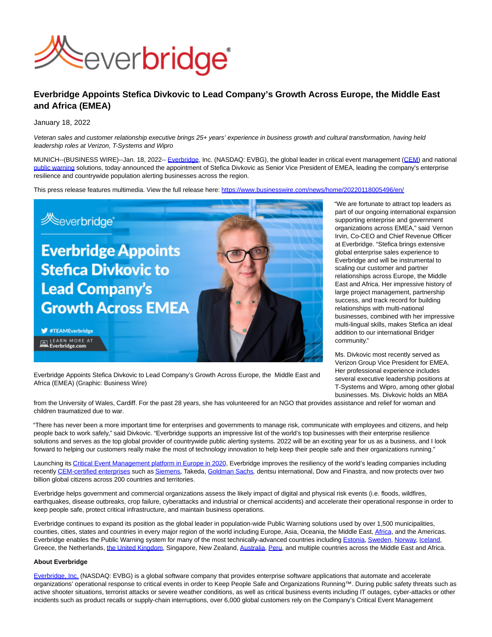

## **Everbridge Appoints Stefica Divkovic to Lead Company's Growth Across Europe, the Middle East and Africa (EMEA)**

January 18, 2022

Veteran sales and customer relationship executive brings 25+ years' experience in business growth and cultural transformation, having held leadership roles at Verizon, T-Systems and Wipro

MUNICH--(BUSINESS WIRE)--Jan. 18, 2022-- [Everbridge,](https://cts.businesswire.com/ct/CT?id=smartlink&url=https%3A%2F%2Fwww.everbridge.com%2F&esheet=52564069&newsitemid=20220118005496&lan=en-US&anchor=Everbridge&index=1&md5=9bd8d51883b16cd85585ccf53760abcc) Inc. (NASDAQ: EVBG), the global leader in critical event management [\(CEM\)](https://cts.businesswire.com/ct/CT?id=smartlink&url=https%3A%2F%2Fwww.everbridge.com%2Fplatform%2Fcritical-event-management%2F&esheet=52564069&newsitemid=20220118005496&lan=en-US&anchor=CEM&index=2&md5=6147f129a58578ea90f3e2ae943460b1) and national [public warning s](https://cts.businesswire.com/ct/CT?id=smartlink&url=https%3A%2F%2Fwww.everbridge.com%2Fproducts%2Fpublic-warning%2F&esheet=52564069&newsitemid=20220118005496&lan=en-US&anchor=public+warning&index=3&md5=94451ed8696dd2eb334bd647d457a384)olutions, today announced the appointment of Stefica Divkovic as Senior Vice President of EMEA, leading the company's enterprise resilience and countrywide population alerting businesses across the region.

This press release features multimedia. View the full release here:<https://www.businesswire.com/news/home/20220118005496/en/>



"We are fortunate to attract top leaders as part of our ongoing international expansion supporting enterprise and government organizations across EMEA," said Vernon Irvin, Co-CEO and Chief Revenue Officer at Everbridge. "Stefica brings extensive global enterprise sales experience to Everbridge and will be instrumental to scaling our customer and partner relationships across Europe, the Middle East and Africa. Her impressive history of large project management, partnership success, and track record for building relationships with multi-national businesses, combined with her impressive multi-lingual skills, makes Stefica an ideal addition to our international Bridger community."

Ms. Divkovic most recently served as Verizon Group Vice President for EMEA. Her professional experience includes several executive leadership positions at T-Systems and Wipro, among other global businesses. Ms. Divkovic holds an MBA

Everbridge Appoints Stefica Divkovic to Lead Company's Growth Across Europe, the Middle East and Africa (EMEA) (Graphic: Business Wire)

from the University of Wales, Cardiff. For the past 28 years, she has volunteered for an NGO that provides assistance and relief for woman and children traumatized due to war.

"There has never been a more important time for enterprises and governments to manage risk, communicate with employees and citizens, and help people back to work safely," said Divkovic. "Everbridge supports an impressive list of the world's top businesses with their enterprise resilience solutions and serves as the top global provider of countrywide public alerting systems. 2022 will be an exciting year for us as a business, and I look forward to helping our customers really make the most of technology innovation to help keep their people safe and their organizations running."

Launching its [Critical Event Management platform in Europe in 2020,](https://cts.businesswire.com/ct/CT?id=smartlink&url=https%3A%2F%2Fwww.everbridge.com%2Fnewsroom%2Farticle%2Feverbridge-launches-fully-integrated-critical-event-management-cem-solution-in-europe-that-helps-organizations-mitigate-crises-and-manage-the-safe-return-to-work-after-covid-19-lockdowns%2F&esheet=52564069&newsitemid=20220118005496&lan=en-US&anchor=Critical+Event+Management+platform+in+Europe+in+2020&index=4&md5=c8e6388b520c32a983a9364784e0ed29) Everbridge improves the resiliency of the world's leading companies including recentl[y CEM-certified enterprises s](https://cts.businesswire.com/ct/CT?id=smartlink&url=https%3A%2F%2Fwww.everbridge.com%2Fnewsroom%2Farticle%2Ftakeda-dentsu-and-finastra-awarded-designation-as-best-in-enterprise-resiliencetm-leaders-as-part-of-everbridges-global-critical-event-management-cem-certification-program%2F&esheet=52564069&newsitemid=20220118005496&lan=en-US&anchor=CEM-certified+enterprises&index=5&md5=f8fb2d25990c3f5e08c6bf90e8878c8d)uch a[s Siemens,](https://cts.businesswire.com/ct/CT?id=smartlink&url=https%3A%2F%2Fwww.everbridge.com%2Fnewsroom%2Farticle%2Fsiemens-awarded-designation-as-best-in-enterprise-resiliencetm-leader-as-part-of-everbridges-global-critical-event-management-cem-certification-program%2F&esheet=52564069&newsitemid=20220118005496&lan=en-US&anchor=Siemens&index=6&md5=b456876e0639f2d05e689af78f08df65) Takeda, [Goldman Sachs](https://cts.businesswire.com/ct/CT?id=smartlink&url=https%3A%2F%2Fwww.everbridge.com%2Fnewsroom%2Farticle%2Feverbridge-launches-critical-event-management-certification-standards-for-enterprise-resilience%2F&esheet=52564069&newsitemid=20220118005496&lan=en-US&anchor=Goldman+Sachs&index=7&md5=3aa1f913861aea56f067b1c9023f2009), dentsu international, Dow and Finastra, and now protects over two billion global citizens across 200 countries and territories.

Everbridge helps government and commercial organizations assess the likely impact of digital and physical risk events (i.e. floods, wildfires, earthquakes, disease outbreaks, crop failure, cyberattacks and industrial or chemical accidents) and accelerate their operational response in order to keep people safe, protect critical infrastructure, and maintain business operations.

Everbridge continues to expand its position as the global leader in population-wide Public Warning solutions used by over 1,500 municipalities, counties, cities, states and countries in every major region of the world including Europe, Asia, Oceania, the Middle East, [Africa,](https://cts.businesswire.com/ct/CT?id=smartlink&url=https%3A%2F%2Fwww.everbridge.com%2Fnewsroom%2Farticle%2Feverbridge-announces-two-new-countrywide-public-warning-deployments-in-the-middle-east-and-in-africa-to-mitigate-covid-19-and-other-critical-events%2F&esheet=52564069&newsitemid=20220118005496&lan=en-US&anchor=Africa&index=8&md5=c17aedd5b6050ea97af597ace2ba1973) and the Americas. Everbridge enables the Public Warning system for many of the most technically-advanced countries includin[g Estonia,](https://cts.businesswire.com/ct/CT?id=smartlink&url=https%3A%2F%2Fwww.everbridge.com%2Fnewsroom%2Farticle%2Feverbridge-selected-to-power-countrywide-public-warning-system-in-estonia-the-most-advanced-digital-society-in-the-world%2F&esheet=52564069&newsitemid=20220118005496&lan=en-US&anchor=Estonia&index=9&md5=4997debd7f5508bf548e257086b3d391) [Sweden,](https://cts.businesswire.com/ct/CT?id=smartlink&url=https%3A%2F%2Fwww.everbridge.com%2Fnewsroom%2Farticle%2Fswedish-authorities-strengthen-countrys-preparedness-with-ums-an-everbridge-company%2F&esheet=52564069&newsitemid=20220118005496&lan=en-US&anchor=Sweden&index=10&md5=8f8beb033c59967a1d91f94688f4aed2) [Norway,](https://cts.businesswire.com/ct/CT?id=smartlink&url=https%3A%2F%2Fwww.everbridge.com%2Fnewsroom%2Farticle%2Fnorwegian-government-strengthens-countrywide-preparedness-for-covid-19-with-everbridge%2F&esheet=52564069&newsitemid=20220118005496&lan=en-US&anchor=Norway&index=11&md5=98650fa645ccd64e3b2c1646a8c2bef3) [Iceland,](https://nam04.safelinks.protection.outlook.com/?url=https%3A%2F%2Fcts.businesswire.com%2Fct%2FCT%3Fid%3Dsmartlink%26url%3Dhttps%253A%252F%252Fwww.everbridge.com%252Fcustomers%252Fsuccess-center%252Fresource%252Fcustomer-perspective-iceland%252F%26esheet%3D52252570%26newsitemid%3D20200720005169%26lan%3Den-US%26anchor%3DIceland%26index%3D8%26md5%3Dd8987f130973d708fef6827dcd089a01&data=04%7C01%7Cjim.gatta%40everbridge.com%7Cf84e6281d9874b03e0d008d946ef92ee%7C1fb05543802f4d46966230d6794b55c8%7C1%7C0%7C637618817041127810%7CUnknown%7CTWFpbGZsb3d8eyJWIjoiMC4wLjAwMDAiLCJQIjoiV2luMzIiLCJBTiI6Ik1haWwiLCJXVCI6Mn0%3D%7C1000&sdata=wjd7J57jJE7klCFl%2Bk1NwecTkdtR3m1ghbDjDoF%2B9d8%3D&reserved=0) Greece, the Netherlands, [the United Kingdom,](https://cts.businesswire.com/ct/CT?id=smartlink&url=https%3A%2F%2Fwww.everbridge.com%2Fnewsroom%2Farticle%2Feverbridge-announces-successful-deployment-of-national-public-warning-system-for-the-united-kingdom-uk-to-protect-over-100-million-residents-and-visitors%2F&esheet=52564069&newsitemid=20220118005496&lan=en-US&anchor=the+United+Kingdom&index=12&md5=f5b6cd91096225e2f2c9c40dc7d65b7d) Singapore, New Zealand, [Australia,](https://cts.businesswire.com/ct/CT?id=smartlink&url=https%3A%2F%2Fwww.everbridge.com%2Fnewsroom%2Farticle%2Feverbridge-to-power-nationwide-alerting-system-in-australia%2F&esheet=52564069&newsitemid=20220118005496&lan=en-US&anchor=Australia&index=13&md5=2424a5f00c563ebfb2f5603b86b36e9a) [Peru,](https://nam04.safelinks.protection.outlook.com/?url=https%3A%2F%2Fcts.businesswire.com%2Fct%2FCT%3Fid%3Dsmartlink%26url%3Dhttps%253A%252F%252Fwww.everbridge.com%252Fnewsroom%252Farticle%252Feverbridge-selected-to-power-countrywide-disaster-alert-platform-in-peru-for-37-million-residents-and-annual-visitors%252F%26esheet%3D52252570%26newsitemid%3D20200720005169%26lan%3Den-US%26anchor%3DPeru%26index%3D10%26md5%3D333ae39f1bf233afd12c63d4b8b20013&data=04%7C01%7Cjim.gatta%40everbridge.com%7Cf84e6281d9874b03e0d008d946ef92ee%7C1fb05543802f4d46966230d6794b55c8%7C1%7C0%7C637618817041127810%7CUnknown%7CTWFpbGZsb3d8eyJWIjoiMC4wLjAwMDAiLCJQIjoiV2luMzIiLCJBTiI6Ik1haWwiLCJXVCI6Mn0%3D%7C1000&sdata=30ARXHv0EdfUEevJE24i7vWkLbLewCBNMvzw9JX9wpU%3D&reserved=0) and multiple countries across the Middle East and Africa.

## **About Everbridge**

[Everbridge, Inc. \(](https://cts.businesswire.com/ct/CT?id=smartlink&url=https%3A%2F%2Fwww.everbridge.com%2F&esheet=52564069&newsitemid=20220118005496&lan=en-US&anchor=Everbridge%2C+Inc.&index=14&md5=0cbb3fd5cf86f1eaaf14e8526154b706)NASDAQ: EVBG) is a global software company that provides enterprise software applications that automate and accelerate organizations' operational response to critical events in order to Keep People Safe and Organizations Running™. During public safety threats such as active shooter situations, terrorist attacks or severe weather conditions, as well as critical business events including IT outages, cyber-attacks or other incidents such as product recalls or supply-chain interruptions, over 6,000 global customers rely on the Company's Critical Event Management